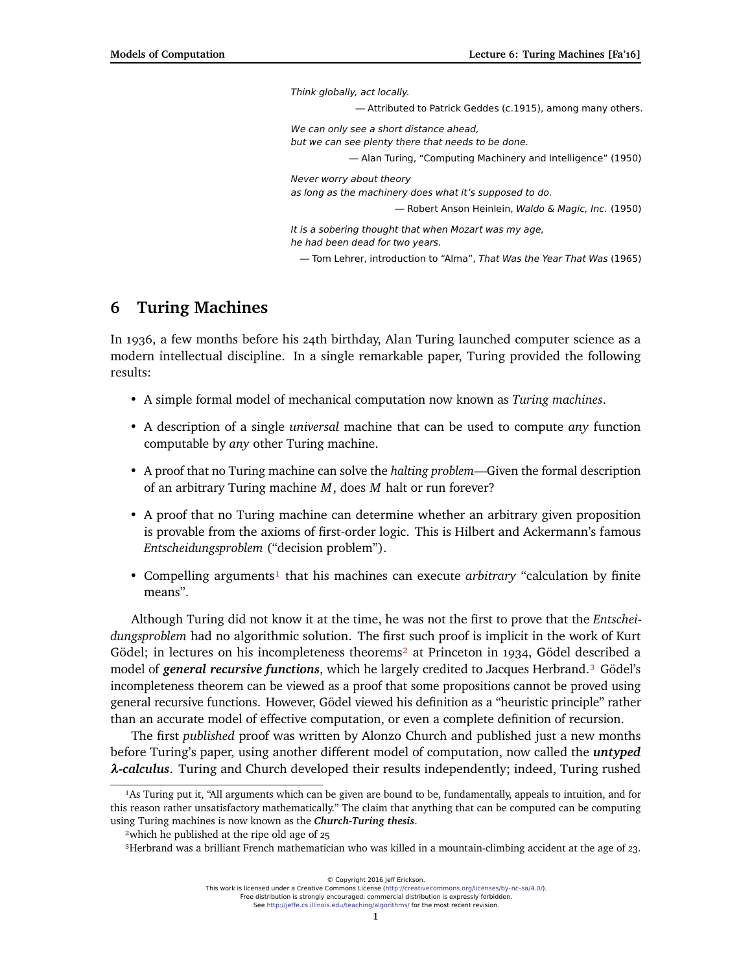Think globally, act locally.

— Attributed to Patrick Geddes (c.1915), among many others.

We can only see a short distance ahead, but we can see plenty there that needs to be done.

— Alan Turing, "Computing Machinery and Intelligence" (1950)

Never worry about theory

as long as the machinery does what it's supposed to do.

— Robert Anson Heinlein, Waldo & Magic, Inc. (1950)

It is a sobering thought that when Mozart was my age, he had been dead for two years.

— Tom Lehrer, introduction to "Alma", That Was the Year That Was (1965)

# **6 Turing Machines**

In 1936, a few months before his 24th birthday, Alan Turing launched computer science as a modern intellectual discipline. In a single remarkable paper, Turing provided the following results:

- A simple formal model of mechanical computation now known as *Turing machines*.
- A description of a single *universal* machine that can be used to compute *any* function computable by *any* other Turing machine.
- A proof that no Turing machine can solve the *halting problem*—Given the formal description of an arbitrary Turing machine *M*, does *M* halt or run forever?
- A proof that no Turing machine can determine whether an arbitrary given proposition is provable from the axioms of first-order logic. This is Hilbert and Ackermann's famous *Entscheidungsproblem* ("decision problem").
- Compelling arguments<sup>1</sup> that his machines can execute *arbitrary* "calculation by finite means".

Although Turing did not know it at the time, he was not the first to prove that the *Entscheidungsproblem* had no algorithmic solution. The first such proof is implicit in the work of Kurt Gödel; in lectures on his incompleteness theorems<sup>2</sup> at Princeton in 1934, Gödel described a model of *general recursive functions*, which he largely credited to Jacques Herbrand.<sup>3</sup> Gödel's incompleteness theorem can be viewed as a proof that some propositions cannot be proved using general recursive functions. However, Gödel viewed his definition as a "heuristic principle" rather than an accurate model of effective computation, or even a complete definition of recursion.

The first *published* proof was written by Alonzo Church and published just a new months before Turing's paper, using another different model of computation, now called the *untyped λ-calculus*. Turing and Church developed their results independently; indeed, Turing rushed

© Copyright 2016 Jeff Erickson.

This work is licensed under a Creative Commons License [\(http://creativecommons.org/licenses/by-nc-sa/4.0/\)](http://creativecommons.org/licenses/by-nc-sa/4.0/). Free distribution is strongly encouraged; commercial distribution is expressly forbidden See <http://jeffe.cs.illinois.edu/teaching/algorithms/> for the most recent revision.

<span id="page-0-0"></span><sup>&</sup>lt;sup>1</sup>As Turing put it, "All arguments which can be given are bound to be, fundamentally, appeals to intuition, and for this reason rather unsatisfactory mathematically." The claim that anything that can be computed can be computing using Turing machines is now known as the *Church-Turing thesis*.

<span id="page-0-1"></span>²which he published at the ripe old age of 25

<span id="page-0-2"></span>³Herbrand was a brilliant French mathematician who was killed in a mountain-climbing accident at the age of 23.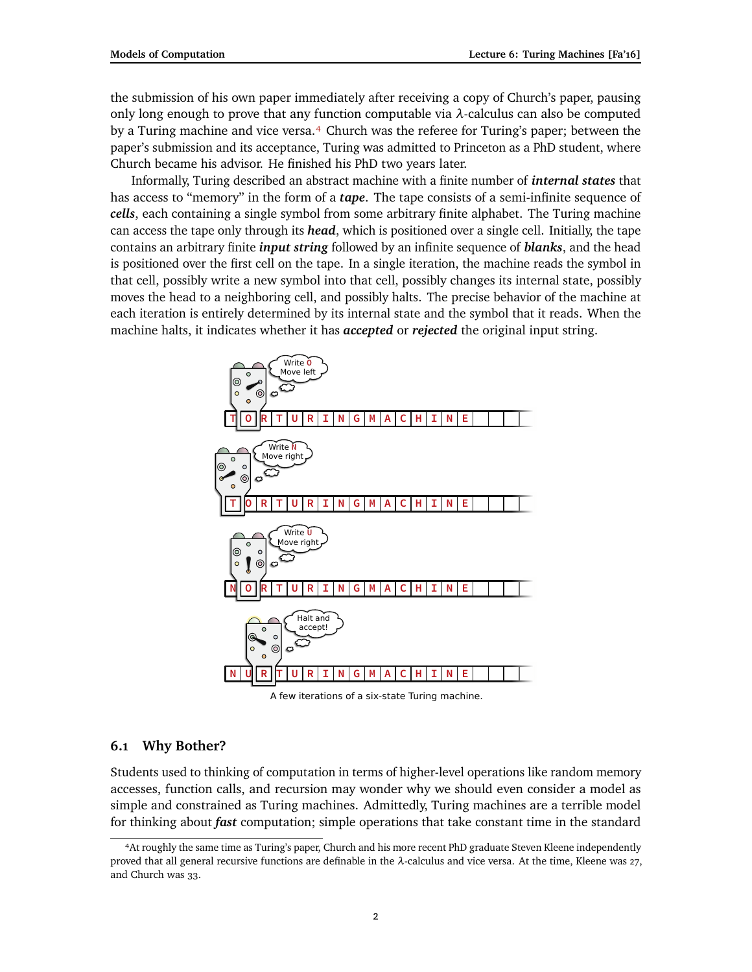the submission of his own paper immediately after receiving a copy of Church's paper, pausing only long enough to prove that any function computable via *λ*-calculus can also be computed by a Turing machine and vice versa.<sup>4</sup> Church was the referee for Turing's paper; between the paper's submission and its acceptance, Turing was admitted to Princeton as a PhD student, where Church became his advisor. He finished his PhD two years later.

Informally, Turing described an abstract machine with a finite number of *internal states* that has access to "memory" in the form of a *tape*. The tape consists of a semi-infinite sequence of *cells*, each containing a single symbol from some arbitrary finite alphabet. The Turing machine can access the tape only through its *head*, which is positioned over a single cell. Initially, the tape contains an arbitrary finite *input string* followed by an infinite sequence of *blanks*, and the head is positioned over the first cell on the tape. In a single iteration, the machine reads the symbol in that cell, possibly write a new symbol into that cell, possibly changes its internal state, possibly moves the head to a neighboring cell, and possibly halts. The precise behavior of the machine at each iteration is entirely determined by its internal state and the symbol that it reads. When the machine halts, it indicates whether it has *accepted* or *rejected* the original input string.



A few iterations of a six-state Turing machine.

#### **6.1 Why Bother?**

Students used to thinking of computation in terms of higher-level operations like random memory accesses, function calls, and recursion may wonder why we should even consider a model as simple and constrained as Turing machines. Admittedly, Turing machines are a terrible model for thinking about *fast* computation; simple operations that take constant time in the standard

<span id="page-1-0"></span>⁴At roughly the same time as Turing's paper, Church and his more recent PhD graduate Steven Kleene independently proved that all general recursive functions are definable in the *λ*-calculus and vice versa. At the time, Kleene was 27, and Church was 33.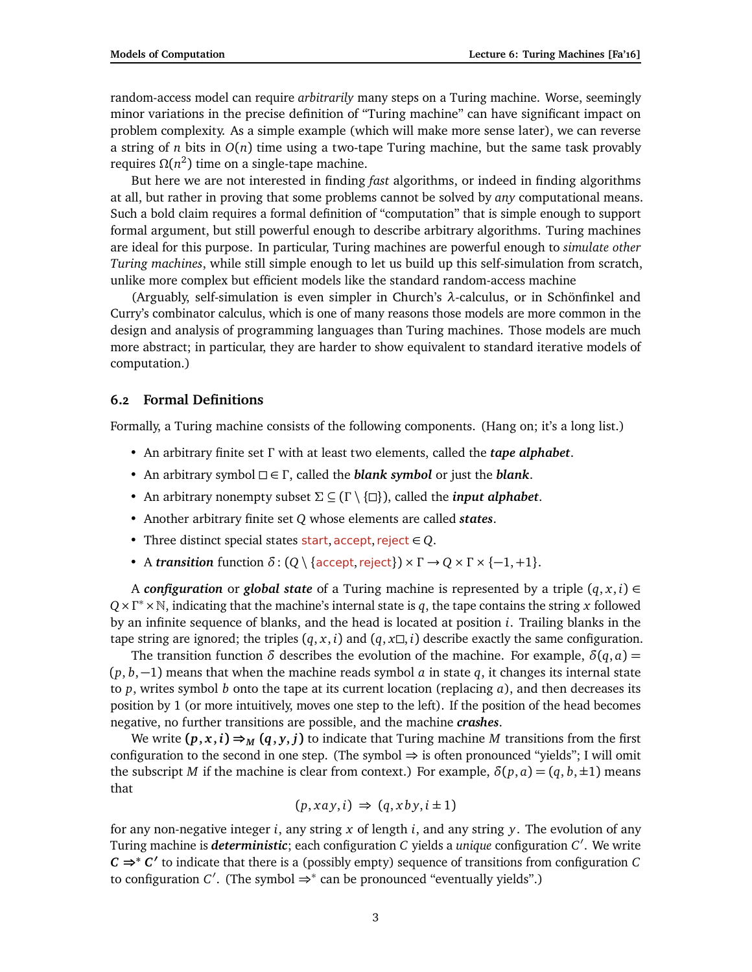random-access model can require *arbitrarily* many steps on a Turing machine. Worse, seemingly minor variations in the precise definition of "Turing machine" can have significant impact on problem complexity. As a simple example (which will make more sense later), we can reverse a string of *n* bits in *O*(*n*) time using a two-tape Turing machine, but the same task provably requires *Ω*(*n* 2 ) time on a single-tape machine.

But here we are not interested in finding *fast* algorithms, or indeed in finding algorithms at all, but rather in proving that some problems cannot be solved by *any* computational means. Such a bold claim requires a formal definition of "computation" that is simple enough to support formal argument, but still powerful enough to describe arbitrary algorithms. Turing machines are ideal for this purpose. In particular, Turing machines are powerful enough to *simulate other Turing machines*, while still simple enough to let us build up this self-simulation from scratch, unlike more complex but efficient models like the standard random-access machine

(Arguably, self-simulation is even simpler in Church's *λ*-calculus, or in Schönfinkel and Curry's combinator calculus, which is one of many reasons those models are more common in the design and analysis of programming languages than Turing machines. Those models are much more abstract; in particular, they are harder to show equivalent to standard iterative models of computation.)

#### **6.2 Formal Definitions**

Formally, a Turing machine consists of the following components. (Hang on; it's a long list.)

- An arbitrary finite set *Γ* with at least two elements, called the *tape alphabet*.
- An arbitrary symbol ∈ *Γ* , called the *blank symbol* or just the *blank*.
- An arbitrary nonempty subset  $\Sigma \subseteq (\Gamma \setminus \{\Box\})$ , called the *input alphabet*.
- Another arbitrary finite set *Q* whose elements are called *states*.
- Three distinct special states start, accept, reject ∈ *Q*.
- A *transition* function  $\delta$ :  $(Q \setminus \{\text{accept}, \text{reject}\}) \times \Gamma \to Q \times \Gamma \times \{-1, +1\}.$

A *configuration* or *global state* of a Turing machine is represented by a triple  $(q, x, i) \in$ *Q*×*Γ* <sup>∗</sup>×N, indicating that the machine's internal state is *q*, the tape contains the string *x* followed by an infinite sequence of blanks, and the head is located at position *i*. Trailing blanks in the tape string are ignored; the triples  $(q, x, i)$  and  $(q, x \Box, i)$  describe exactly the same configuration.

The transition function  $\delta$  describes the evolution of the machine. For example,  $\delta(q, a)$  = (*p*, *b*,−1) means that when the machine reads symbol *a* in state *q*, it changes its internal state to *p*, writes symbol *b* onto the tape at its current location (replacing *a*), and then decreases its position by 1 (or more intuitively, moves one step to the left). If the position of the head becomes negative, no further transitions are possible, and the machine *crashes*.

We write  $(p, x, i) \Rightarrow_M (q, y, i)$  to indicate that Turing machine *M* transitions from the first configuration to the second in one step. (The symbol  $\Rightarrow$  is often pronounced "yields"; I will omit the subscript *M* if the machine is clear from context.) For example,  $\delta(p, a) = (q, b, \pm 1)$  means that

$$
(p, xay, i) \Rightarrow (q, xby, i \pm 1)
$$

for any non-negative integer *i*, any string *x* of length *i*, and any string *y*. The evolution of any Turing machine is *deterministic*; each configuration *C* yields a *unique* configuration *C* 0 . We write  $C \Rightarrow C'$  to indicate that there is a (possibly empty) sequence of transitions from configuration *C* to configuration  $C'$ . (The symbol  $\Rightarrow^*$  can be pronounced "eventually yields".)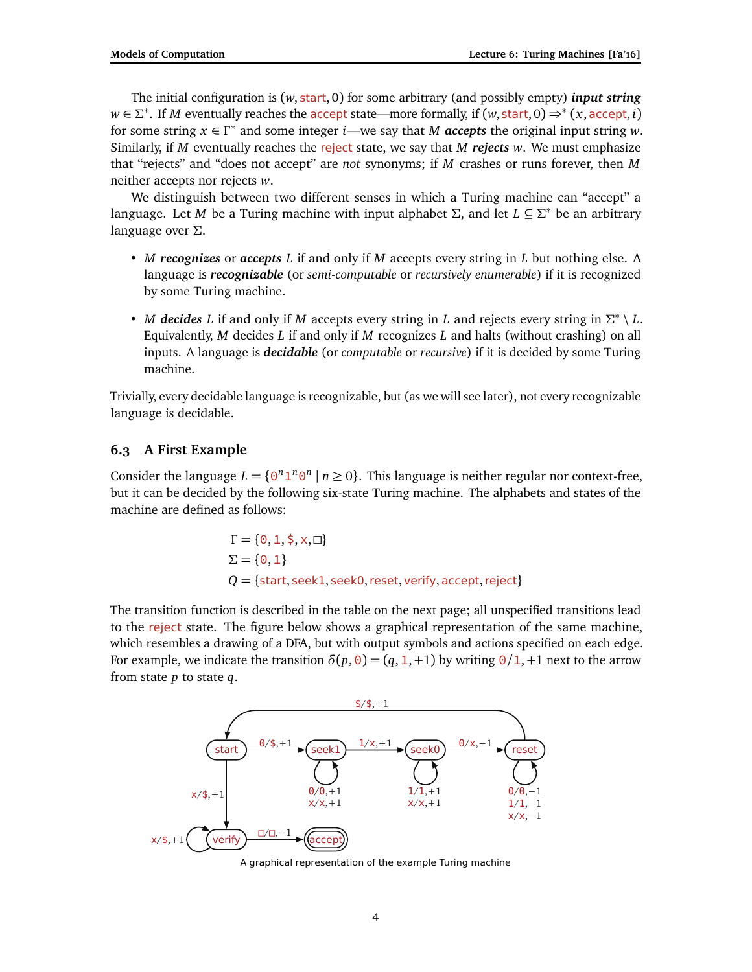The initial configuration is (*w*, start, 0) for some arbitrary (and possibly empty) *input string w* ∈ *Σ* ∗ . If *<sup>M</sup>* eventually reaches the accept state—more formally, if (*w*, start, 0) <sup>⇒</sup><sup>∗</sup> (*x*, accept, *i*) for some string *x* ∈ *Γ*<sup>\*</sup> and some integer *i*—we say that *M accepts* the original input string *w*. Similarly, if *M* eventually reaches the reject state, we say that *M rejects w*. We must emphasize that "rejects" and "does not accept" are *not* synonyms; if *M* crashes or runs forever, then *M* neither accepts nor rejects *w*.

We distinguish between two different senses in which a Turing machine can "accept" a language. Let *M* be a Turing machine with input alphabet *Σ*, and let *L* ⊆ *Σ* <sup>∗</sup> be an arbitrary language over *Σ*.

- *M recognizes* or *accepts L* if and only if *M* accepts every string in *L* but nothing else. A language is *recognizable* (or *semi-computable* or *recursively enumerable*) if it is recognized by some Turing machine.
- *M decides L* if and only if *M* accepts every string in *L* and rejects every string in  $\Sigma^* \setminus L$ . Equivalently, *M* decides *L* if and only if *M* recognizes *L* and halts (without crashing) on all inputs. A language is *decidable* (or *computable* or *recursive*) if it is decided by some Turing machine.

Trivially, every decidable language is recognizable, but (as we will see later), not every recognizable language is decidable.

# **6.3 A First Example**

Consider the language  $L = \{0^n 1^n 0^n \mid n \ge 0\}$ . This language is neither regular nor context-free, but it can be decided by the following six-state Turing machine. The alphabets and states of the machine are defined as follows:

$$
\Gamma = \{0, 1, \xi, x, \Box\}
$$
  
\n
$$
\Sigma = \{0, 1\}
$$
  
\n
$$
Q = \{\text{start}, \text{seek1}, \text{seek0}, \text{reset}, \text{verify}, \text{accept}, \text{reject}\}
$$

The transition function is described in the table on the next page; all unspecified transitions lead to the reject state. The figure below shows a graphical representation of the same machine, which resembles a drawing of a DFA, but with output symbols and actions specified on each edge. For example, we indicate the transition  $\delta(p, \theta) = (q, 1, +1)$  by writing  $\Theta/1$ , +1 next to the arrow from state *p* to state *q*.



A graphical representation of the example Turing machine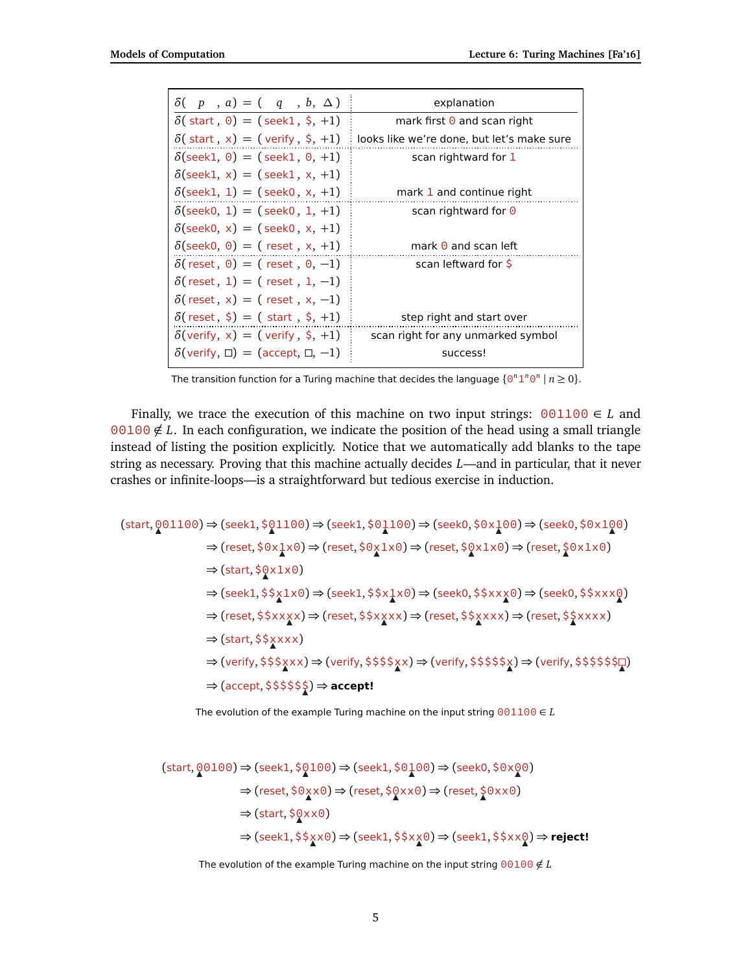| $\delta(-p, a) = (q, b, \Delta)$                            | explanation                                |
|-------------------------------------------------------------|--------------------------------------------|
| $\delta$ (start, 0) = (seek1, \$, +1)                       | mark first $\Theta$ and scan right         |
| $\delta$ (start, x) = (verify, \$, +1)                      | looks like we're done, but let's make sure |
| $\delta$ (seek1, 0) = (seek1, 0, +1)                        | scan rightward for 1                       |
| $\delta$ (seek1, x) = (seek1, x, +1)                        |                                            |
| $\delta$ (seek1, 1) = (seek0, x, +1)                        | mark 1 and continue right                  |
| $\delta$ (seek0, 1) = (seek0, 1, +1)                        | scan rightward for $\Theta$                |
| $\delta$ (seek0, x) = (seek0, x, +1)                        |                                            |
| $\delta$ (seek0, 0) = (reset, x, +1)                        | mark $\Theta$ and scan left                |
| $\delta$ (reset, 0) = (reset, 0, -1)                        | scan leftward for \$                       |
| $\delta$ (reset, 1) = (reset, 1, -1)                        |                                            |
| $\delta$ (reset, x) = (reset, x, -1)                        |                                            |
| $\delta$ (reset, $\zeta$ ) = (start, $\zeta$ , +1)          | step right and start over                  |
| $\delta$ (verify, x) = (verify, \$, +1)                     | scan right for any unmarked symbol         |
| $\delta$ (verify, $\square$ ) = (accept, $\square$ , $-1$ ) | success!                                   |

The transition function for a Turing machine that decides the language  ${0^n 1^n 0^n \mid n \geq 0}$ .

Finally, we trace the execution of this machine on two input strings:  $001100 \in L$  and 00100 ∉ L. In each configuration, we indicate the position of the head using a small triangle instead of listing the position explicitly. Notice that we automatically add blanks to the tape string as necessary. Proving that this machine actually decides *L*—and in particular, that it never crashes or infinite-loops—is a straightforward but tedious exercise in induction.

$$
(\text{start}, \mathbf{Q} \cdot 01100) \Rightarrow (\text{seek1}, \xi \mathbf{Q} \cdot 1100) \Rightarrow (\text{seek1}, \xi \cdot 01100) \Rightarrow (\text{seek0}, \xi \cdot 0 \times 100) \Rightarrow (\text{reset}, \xi \cdot 0 \times 1 \times 0)
$$
\n
$$
\Rightarrow (\text{reset}, \xi \cdot 0 \times 1 \times 0) \Rightarrow (\text{reset}, \xi \cdot 0 \times 1 \times 0) \Rightarrow (\text{reset}, \xi \cdot 0 \times 1 \times 0)
$$
\n
$$
\Rightarrow (\text{start}, \xi \mathbf{Q} \times 1 \times 0)
$$
\n
$$
\Rightarrow (\text{seek1}, \xi \xi \mathbf{Q} \times 1 \times 0) \Rightarrow (\text{seek1}, \xi \xi \mathbf{Q} \times 1 \times 0) \Rightarrow (\text{seek0}, \xi \xi \mathbf{Q} \times 1 \times 0) \Rightarrow (\text{seek1}, \xi \xi \mathbf{Q} \times 1 \times 0) \Rightarrow (\text{seek1}, \xi \xi \mathbf{Q} \times 1 \times 0) \Rightarrow (\text{reset}, \xi \xi \mathbf{Q} \times 1 \times 0) \Rightarrow (\text{reset}, \xi \xi \mathbf{Q} \times 1 \times 0) \Rightarrow (\text{reset}, \xi \xi \mathbf{Q} \times 1 \times 0) \Rightarrow (\text{reset}, \xi \xi \mathbf{Q} \times 1 \times 0) \Rightarrow (\text{reset}, \xi \xi \mathbf{Q} \times 1 \times 0) \Rightarrow (\text{reset}, \xi \xi \mathbf{Q} \times 1 \times 0) \Rightarrow (\text{check}, \xi \xi \mathbf{Q} \times 1 \times 0) \Rightarrow (\text{vertex1}, \xi \xi \mathbf{Q} \times 1 \times 0) \Rightarrow (\text{vertex2}, \xi \xi \mathbf{Q} \times 1 \times 0) \Rightarrow (\text{vertex3}, \xi \xi \mathbf{Q} \times 1 \times 0) \Rightarrow (\text{vertex4}, \xi \xi \mathbf{Q} \times 1 \times 0) \Rightarrow (\text{reset1}, \xi \xi \mathbf{Q} \times 1 \times 0) \Rightarrow (\text{reset2}, \xi \xi \mathbf{Q} \times 1 \times 0) \Rightarrow (\text{reset3}, \xi \xi \mathbf{Q} \times 1 \times 0) \Rightarrow (\text{seek3}, \xi \xi \mathbf{Q} \times 1 \times 0) \Rightarrow (\text{seek
$$

The evolution of the example Turing machine on the input string  $001100 \in L$ 

$$
(\text{start}, \mathbf{Q0100}) \Rightarrow (\text{seek1}, \xi \mathbf{Q100}) \Rightarrow (\text{seek1}, \xi \mathbf{Q100}) \Rightarrow (\text{seek0}, \xi \mathbf{Q} \times \mathbf{Q0})
$$
\n
$$
\Rightarrow (\text{reset}, \xi \mathbf{Q} \times \mathbf{X0}) \Rightarrow (\text{reset}, \xi \mathbf{Q} \times \mathbf{X0}) \Rightarrow (\text{reset}, \xi \mathbf{Q} \times \mathbf{X0})
$$
\n
$$
\Rightarrow (\text{start}, \xi \mathbf{Q} \times \mathbf{X0})
$$
\n
$$
\Rightarrow (\text{seek1}, \xi \xi \mathbf{X} \times \mathbf{Q}) \Rightarrow (\text{seek1}, \xi \xi \mathbf{X} \times \mathbf{Q}) \Rightarrow (\text{seek1}, \xi \xi \mathbf{X} \times \mathbf{Q}) \Rightarrow \text{reject1}
$$

The evolution of the example Turing machine on the input string  $00100 \notin L$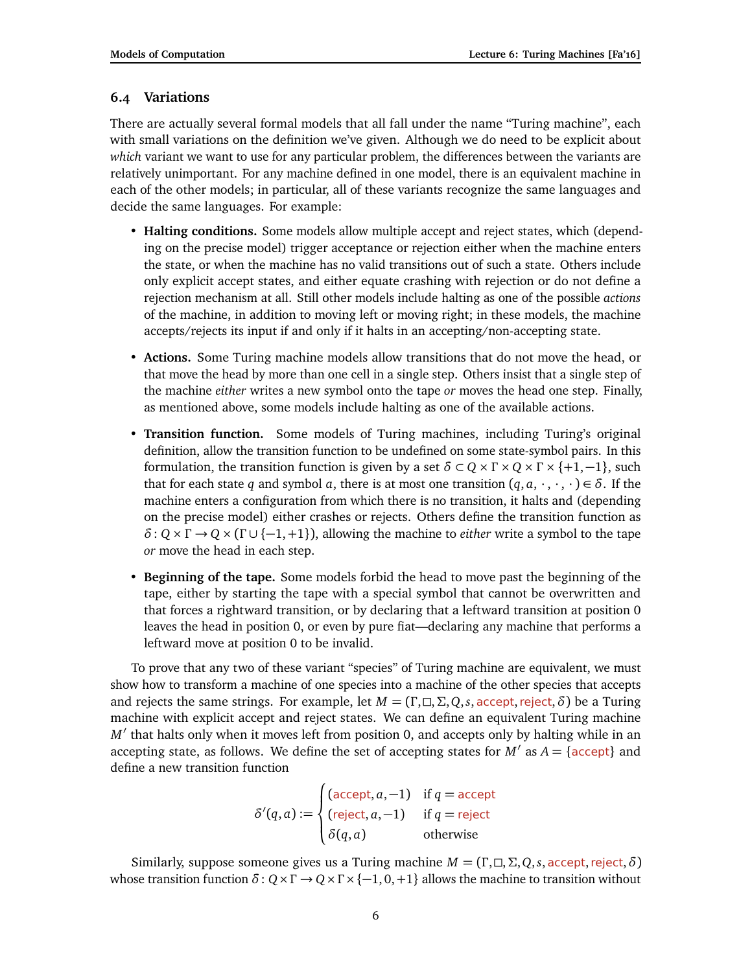# **6.4 Variations**

There are actually several formal models that all fall under the name "Turing machine", each with small variations on the definition we've given. Although we do need to be explicit about *which* variant we want to use for any particular problem, the differences between the variants are relatively unimportant. For any machine defined in one model, there is an equivalent machine in each of the other models; in particular, all of these variants recognize the same languages and decide the same languages. For example:

- **Halting conditions.** Some models allow multiple accept and reject states, which (depending on the precise model) trigger acceptance or rejection either when the machine enters the state, or when the machine has no valid transitions out of such a state. Others include only explicit accept states, and either equate crashing with rejection or do not define a rejection mechanism at all. Still other models include halting as one of the possible *actions* of the machine, in addition to moving left or moving right; in these models, the machine accepts/rejects its input if and only if it halts in an accepting/non-accepting state.
- **Actions.** Some Turing machine models allow transitions that do not move the head, or that move the head by more than one cell in a single step. Others insist that a single step of the machine *either* writes a new symbol onto the tape *or* moves the head one step. Finally, as mentioned above, some models include halting as one of the available actions.
- **Transition function.** Some models of Turing machines, including Turing's original definition, allow the transition function to be undefined on some state-symbol pairs. In this formulation, the transition function is given by a set  $\delta \subset Q \times \Gamma \times Q \times \Gamma \times \{+1,-1\}$ , such that for each state *q* and symbol *a*, there is at most one transition  $(q, a, \dots, \dots) \in \delta$ . If the machine enters a configuration from which there is no transition, it halts and (depending on the precise model) either crashes or rejects. Others define the transition function as *δ*: *Q* × *Γ* → *Q* × (*Γ* ∪ {−1,+1}), allowing the machine to *either* write a symbol to the tape *or* move the head in each step.
- **Beginning of the tape.** Some models forbid the head to move past the beginning of the tape, either by starting the tape with a special symbol that cannot be overwritten and that forces a rightward transition, or by declaring that a leftward transition at position 0 leaves the head in position 0, or even by pure fiat—declaring any machine that performs a leftward move at position 0 to be invalid.

To prove that any two of these variant "species" of Turing machine are equivalent, we must show how to transform a machine of one species into a machine of the other species that accepts and rejects the same strings. For example, let  $M = (\Gamma, \Box, \Sigma, Q, s, \text{accept}, \text{reject}, \delta)$  be a Turing machine with explicit accept and reject states. We can define an equivalent Turing machine *M'* that halts only when it moves left from position 0, and accepts only by halting while in an accepting state, as follows. We define the set of accepting states for  $M'$  as  $A = \{ \text{accept} \}$  and define a new transition function

$$
\delta'(q, a) := \begin{cases}\n(\text{accept}, a, -1) & \text{if } q = \text{accept} \\
(\text{reject}, a, -1) & \text{if } q = \text{reject} \\
\delta(q, a) & \text{otherwise}\n\end{cases}
$$

Similarly, suppose someone gives us a Turing machine  $M = (\Gamma, \Box, \Sigma, Q, s, \text{accept}, \text{reject}, \delta)$ whose transition function  $\delta: Q \times \Gamma \to Q \times \Gamma \times \{-1, 0, +1\}$  allows the machine to transition without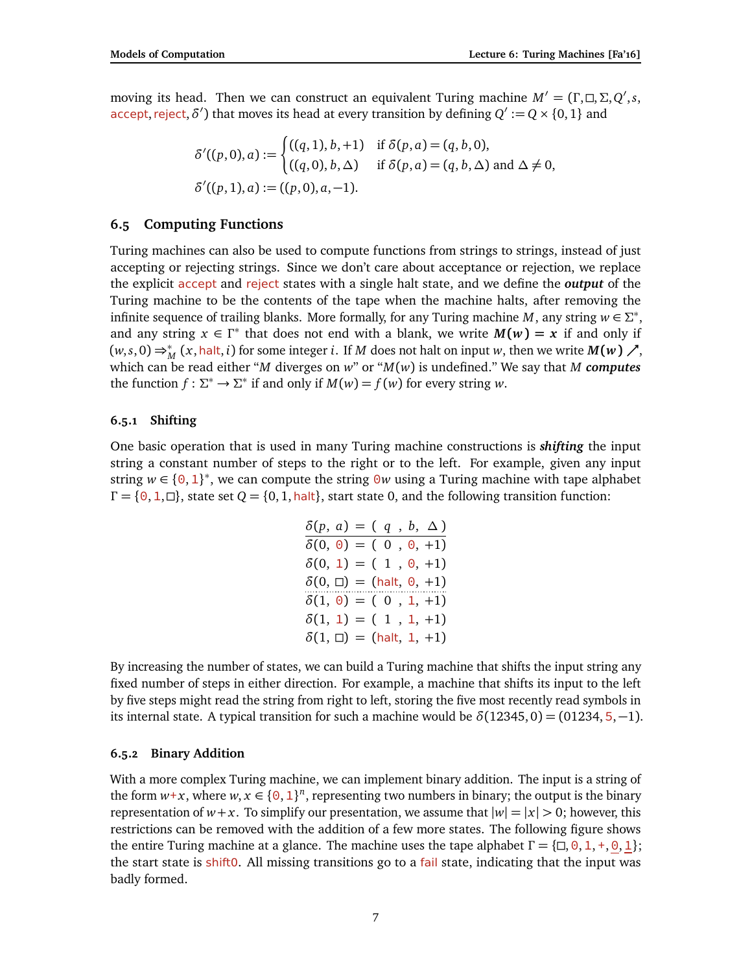moving its head. Then we can construct an equivalent Turing machine  $M' = (\Gamma, \Box, \Sigma, Q', s, \Box)$ accept, reject,  $\delta'$ ) that moves its head at every transition by defining  $Q' := Q \times \{0, 1\}$  and

$$
\delta'((p,0),a) := \begin{cases} ((q,1),b, +1) & \text{if } \delta(p,a) = (q,b,0), \\ ((q,0),b,\Delta) & \text{if } \delta(p,a) = (q,b,\Delta) \text{ and } \Delta \neq 0, \\ \delta'((p,1),a) := ((p,0),a,-1). \end{cases}
$$

## **6.5 Computing Functions**

Turing machines can also be used to compute functions from strings to strings, instead of just accepting or rejecting strings. Since we don't care about acceptance or rejection, we replace the explicit accept and reject states with a single halt state, and we define the *output* of the Turing machine to be the contents of the tape when the machine halts, after removing the infinite sequence of trailing blanks. More formally, for any Turing machine *M*, any string  $w \in \Sigma^*$ , and any string  $x \in \Gamma^*$  that does not end with a blank, we write  $M(w) = x$  if and only if  $(w, s, 0) \Rightarrow_M^* (x, \text{halt}, i)$  for some integer *i*. If *M* does not halt on input *w*, then we write *M*(*w*)  $\nearrow$ , which can be read either "*M* diverges on *w*" or "*M*(*w*) is undefined." We say that *M computes* the function  $f: \Sigma^* \to \Sigma^*$  if and only if  $M(w) = f(w)$  for every string *w*.

#### **6.5.1 Shifting**

One basic operation that is used in many Turing machine constructions is *shifting* the input string a constant number of steps to the right or to the left. For example, given any input string  $w \in \{0, 1\}^*$ , we can compute the string  $\theta w$  using a Turing machine with tape alphabet  $\Gamma = \{0, 1, \Box\}$ , state set  $Q = \{0, 1, \text{halt}\}$ , start state 0, and the following transition function:

| $\delta(p, a) = (q, b, \Delta)$   |  |  |  |  |
|-----------------------------------|--|--|--|--|
| $\delta(0, 0) = (0, 0, +1)$       |  |  |  |  |
| $\delta(0, 1) = (1, 0, +1)$       |  |  |  |  |
| $\delta(0, \Box) = (halt, 0, +1)$ |  |  |  |  |
| $\delta(1, 0) = (0, 1, +1)$       |  |  |  |  |
| $\delta(1, 1) = (1, 1, +1)$       |  |  |  |  |
| $\delta(1, \Box) = (halt, 1, +1)$ |  |  |  |  |

By increasing the number of states, we can build a Turing machine that shifts the input string any fixed number of steps in either direction. For example, a machine that shifts its input to the left by five steps might read the string from right to left, storing the five most recently read symbols in its internal state. A typical transition for such a machine would be  $\delta(12345, 0) = (01234, 5, -1)$ .

#### **6.5.2 Binary Addition**

With a more complex Turing machine, we can implement binary addition. The input is a string of the form  $w+x$ , where  $w, x \in \{0,1\}^n$ , representing two numbers in binary; the output is the binary representation of  $w + x$ . To simplify our presentation, we assume that  $|w| = |x| > 0$ ; however, this restrictions can be removed with the addition of a few more states. The following figure shows the entire Turing machine at a glance. The machine uses the tape alphabet  $\Gamma = \{\Box, \Theta, 1, +, \Theta, 1\}$ ; the start state is shift0. All missing transitions go to a fail state, indicating that the input was badly formed.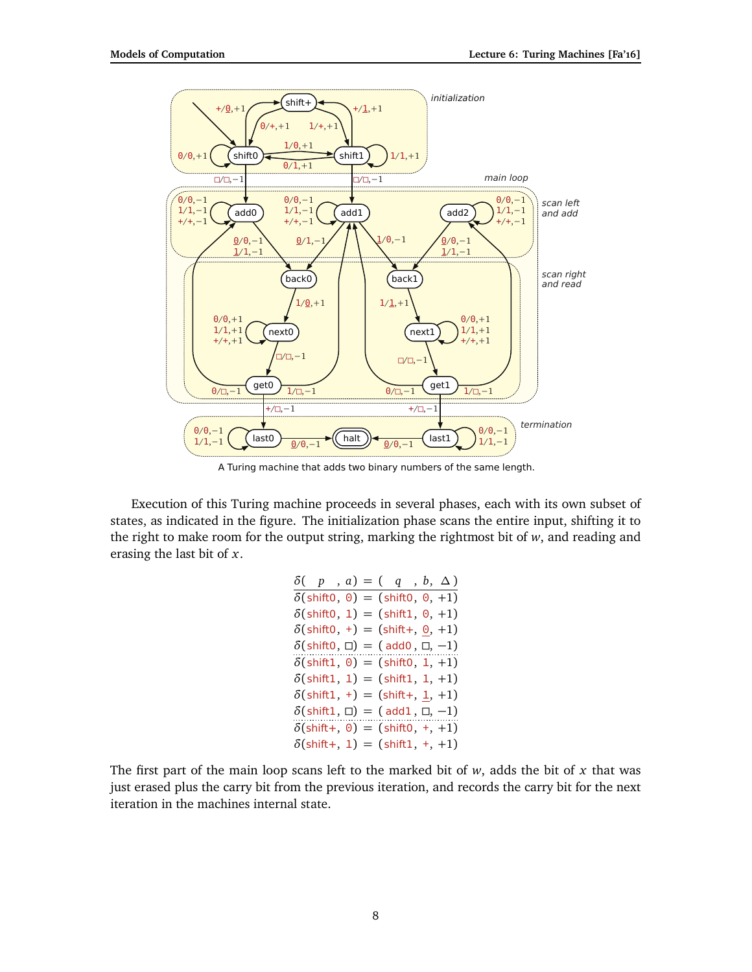

A Turing machine that adds two binary numbers of the same length.

Execution of this Turing machine proceeds in several phases, each with its own subset of states, as indicated in the figure. The initialization phase scans the entire input, shifting it to the right to make room for the output string, marking the rightmost bit of  $w$ , and reading and erasing the last bit of *x*.

```
δ( p , a) = ( q , b, ∆ )
\delta(\text{shift0}, 0) = (\text{shift0}, 0, +1)\delta(shift0, 1) = (shift1, 0, +1)
\delta(shift0, +) = (shift+, 0, +1)
\delta(shift0, \Box) = (add0, \Box, -1)
\delta(shift1, 0) = (shift0, 1, +1)
\delta(\text{shift1}, 1) = (\text{shift1}, 1, +1)\delta(shift1, +) = (shift+, <u>1</u>, +1)
\delta(\text{shift1}, \Box) = (\text{add1}, \Box, -1)\delta(shift+, 0) = (shift0, +, +1)
\delta(shift+, 1) = (shift1, +, +1)
```
The first part of the main loop scans left to the marked bit of *w*, adds the bit of *x* that was just erased plus the carry bit from the previous iteration, and records the carry bit for the next iteration in the machines internal state.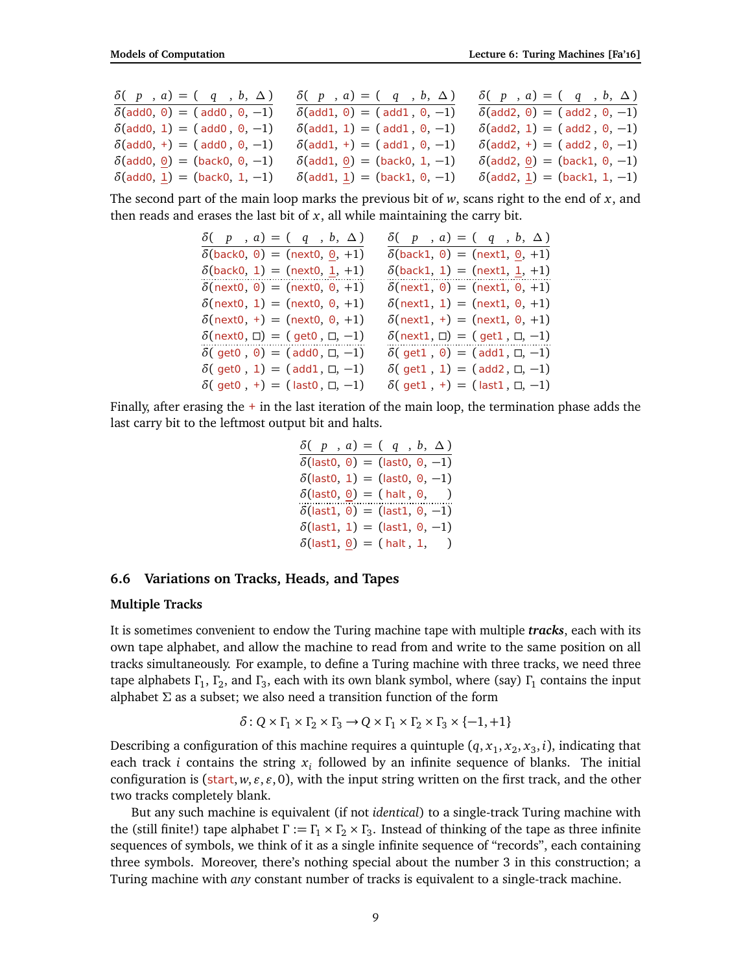| $\delta(p, a) = (q, b, \Delta)$                  | $\delta(p, a) = (q, b, \Delta)$                  | $\delta(p, a) = (q, b, \Delta)$                  |
|--------------------------------------------------|--------------------------------------------------|--------------------------------------------------|
| $\delta(\text{add0}, 0) = (\text{add0}, 0, -1)$  | $\delta(\text{add1}, 0) = (\text{add1}, 0, -1)$  | $\delta(\text{add2}, 0) = (\text{add2}, 0, -1)$  |
| $\delta(\text{add0}, 1) = (\text{add0}, 0, -1)$  | $\delta(\text{add1}, 1) = (\text{add1}, 0, -1)$  | $\delta(\text{add2}, 1) = (\text{add2}, 0, -1)$  |
| $\delta(\text{add0}, +) = (\text{add0}, 0, -1)$  | $\delta(\text{add1}, +) = (\text{add1}, 0, -1)$  | $\delta(\text{add2}, +) = (\text{add2}, 0, -1)$  |
| $\delta(\text{add0}, 0) = (\text{back0}, 0, -1)$ | $\delta(\text{add1}, 0) = (\text{back0}, 1, -1)$ | $\delta(\text{add2}, 0) = (\text{back1}, 0, -1)$ |
| $\delta(\text{add0}, 1) = (\text{back0}, 1, -1)$ | $\delta(\text{add1}, 1) = (\text{back1}, 0, -1)$ | $\delta(\text{add2}, 1) = (\text{back1}, 1, -1)$ |

The second part of the main loop marks the previous bit of *w*, scans right to the end of *x*, and then reads and erases the last bit of  $x$ , all while maintaining the carry bit.

| $\delta(-p, a) = (q, b, \Delta)$                       | $\delta(-p, a) = (q, b, \Delta)$                       |
|--------------------------------------------------------|--------------------------------------------------------|
| $\delta$ (back0, 0) = (next0, 0, +1)                   | $\delta$ (back1, 0) = (next1, 0, +1)                   |
| $\delta$ (back0, 1) = (next0, 1, +1)                   | $\delta$ (back1, 1) = (next1, 1, +1)                   |
| $\delta$ (next0, 0) = (next0, 0, +1)                   | $\delta$ (next1, 0) = (next1, 0, +1)                   |
| $\delta(\text{next0}, 1) = (\text{next0}, 0, +1)$      | $\delta(\text{next1}, 1) = (\text{next1}, 0, +1)$      |
| $\delta$ (next0, +) = (next0, 0, +1)                   | $\delta(\text{next1}, +) = (\text{next1}, 0, +1)$      |
| $\delta(\text{next0}, \Box) = (\text{get0}, \Box, -1)$ | $\delta(\text{next1}, \Box) = (\text{get1}, \Box, -1)$ |
| $\delta$ (get0, 0) = (add0, $\Box$ , -1)               | $\delta$ (get1, 0) = (add1, $\Box$ , -1)               |
| $\delta$ (get0, 1) = (add1, $\Box$ , -1)               | $\delta$ (get1, 1) = (add2, $\Box$ , -1)               |
| $\delta$ (get0, +) = (last0, $\Box$ , -1)              | $\delta$ (get1, +) = (last1, $\Box$ , -1)              |

Finally, after erasing the  $+$  in the last iteration of the main loop, the termination phase adds the last carry bit to the leftmost output bit and halts.

```
δ( p , a) = ( q , b, ∆ )
\delta(last0, 0) = (last0, 0, -1)
δ(last0, 1) = (last0, 0, -1)
\delta(last0, <u>0</u>) = (halt, 0, )
\delta(last1, 0) = (last1, 0, -1)
\delta(last1, 1) = (last1, 0, -1)
\delta(last1, 0) = (halt, 1, )
```
#### **6.6 Variations on Tracks, Heads, and Tapes**

#### **Multiple Tracks**

It is sometimes convenient to endow the Turing machine tape with multiple *tracks*, each with its own tape alphabet, and allow the machine to read from and write to the same position on all tracks simultaneously. For example, to define a Turing machine with three tracks, we need three tape alphabets  $\Gamma_1$ ,  $\Gamma_2$ , and  $\Gamma_3$ , each with its own blank symbol, where (say)  $\Gamma_1$  contains the input alphabet *Σ* as a subset; we also need a transition function of the form

$$
\delta: Q \times \Gamma_{\!\! 1} \times \Gamma_{\!\! 2} \times \Gamma_{\!\! 3} \to Q \times \Gamma_{\!\! 1} \times \Gamma_{\!\! 2} \times \Gamma_{\!\! 3} \times \{-1,+1\}
$$

Describing a configuration of this machine requires a quintuple  $(q, x_1, x_2, x_3, i)$ , indicating that each track *i* contains the string *x<sup>i</sup>* followed by an infinite sequence of blanks. The initial configuration is (start,  $w, \varepsilon, \varepsilon, 0$ ), with the input string written on the first track, and the other two tracks completely blank.

But any such machine is equivalent (if not *identical*) to a single-track Turing machine with the (still finite!) tape alphabet *Γ* := *Γ*<sup>1</sup> × *Γ*<sup>2</sup> × *Γ*<sup>3</sup> . Instead of thinking of the tape as three infinite sequences of symbols, we think of it as a single infinite sequence of "records", each containing three symbols. Moreover, there's nothing special about the number 3 in this construction; a Turing machine with *any* constant number of tracks is equivalent to a single-track machine.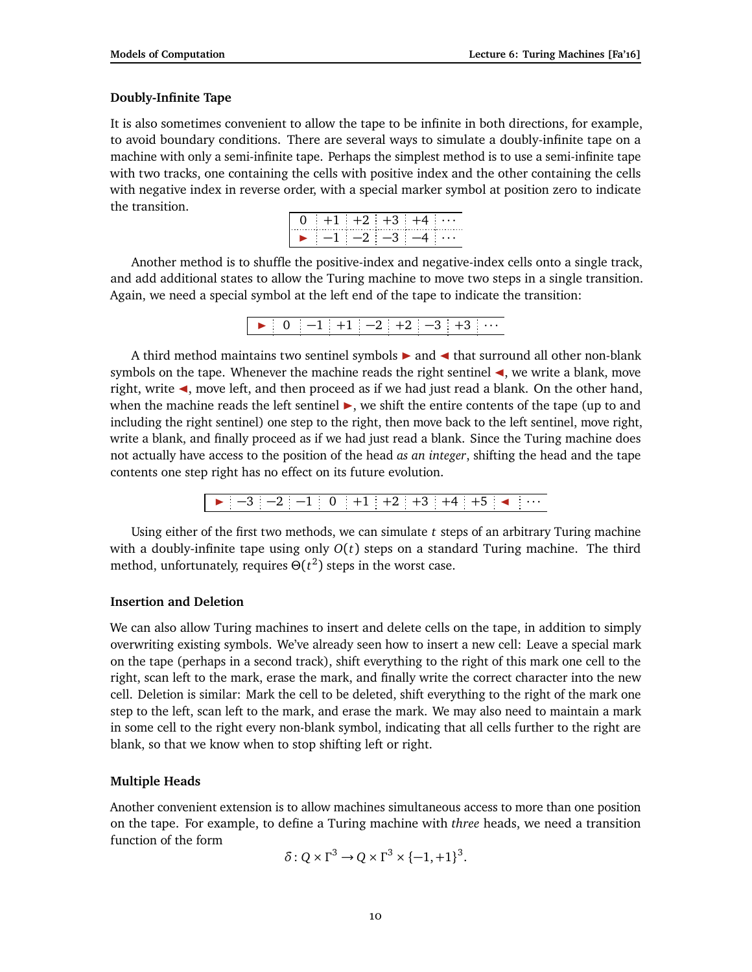## **Doubly-Infinite Tape**

It is also sometimes convenient to allow the tape to be infinite in both directions, for example, to avoid boundary conditions. There are several ways to simulate a doubly-infinite tape on a machine with only a semi-infinite tape. Perhaps the simplest method is to use a semi-infinite tape with two tracks, one containing the cells with positive index and the other containing the cells with negative index in reverse order, with a special marker symbol at position zero to indicate the transition.

|  | - 11 |  |
|--|------|--|
|  |      |  |

Another method is to shuffle the positive-index and negative-index cells onto a single track, and add additional states to allow the Turing machine to move two steps in a single transition. Again, we need a special symbol at the left end of the tape to indicate the transition:

| $\cdot$ $\cdot$<br>L |  |
|----------------------|--|
|----------------------|--|

A third method maintains two sentinel symbols  $\blacktriangleright$  and  $\blacktriangleleft$  that surround all other non-blank symbols on the tape. Whenever the machine reads the right sentinel  $\blacktriangleleft$ , we write a blank, move right, write  $\blacktriangleleft$ , move left, and then proceed as if we had just read a blank. On the other hand, when the machine reads the left sentinel  $\blacktriangleright$ , we shift the entire contents of the tape (up to and including the right sentinel) one step to the right, then move back to the left sentinel, move right, write a blank, and finally proceed as if we had just read a blank. Since the Turing machine does not actually have access to the position of the head *as an integer*, shifting the head and the tape contents one step right has no effect on its future evolution.

|  | $\blacktriangleright$ $\ket{-3}$ $\ket{-2}$ $\ket{-1}$ 0 $\ket{+1}$ $\ket{+2}$ $\ket{+3}$ $\ket{+4}$ $\ket{+5}$ $\blacktriangleleft$ $\ket{}$ |  |  |  |  |  |  |  |  |  |
|--|-----------------------------------------------------------------------------------------------------------------------------------------------|--|--|--|--|--|--|--|--|--|
|--|-----------------------------------------------------------------------------------------------------------------------------------------------|--|--|--|--|--|--|--|--|--|

Using either of the first two methods, we can simulate *t* steps of an arbitrary Turing machine with a doubly-infinite tape using only  $O(t)$  steps on a standard Turing machine. The third method, unfortunately, requires *Θ*(*t* 2 ) steps in the worst case.

#### **Insertion and Deletion**

We can also allow Turing machines to insert and delete cells on the tape, in addition to simply overwriting existing symbols. We've already seen how to insert a new cell: Leave a special mark on the tape (perhaps in a second track), shift everything to the right of this mark one cell to the right, scan left to the mark, erase the mark, and finally write the correct character into the new cell. Deletion is similar: Mark the cell to be deleted, shift everything to the right of the mark one step to the left, scan left to the mark, and erase the mark. We may also need to maintain a mark in some cell to the right every non-blank symbol, indicating that all cells further to the right are blank, so that we know when to stop shifting left or right.

## **Multiple Heads**

Another convenient extension is to allow machines simultaneous access to more than one position on the tape. For example, to define a Turing machine with *three* heads, we need a transition function of the form

$$
\delta: Q \times \Gamma^3 \to Q \times \Gamma^3 \times \{-1, +1\}^3.
$$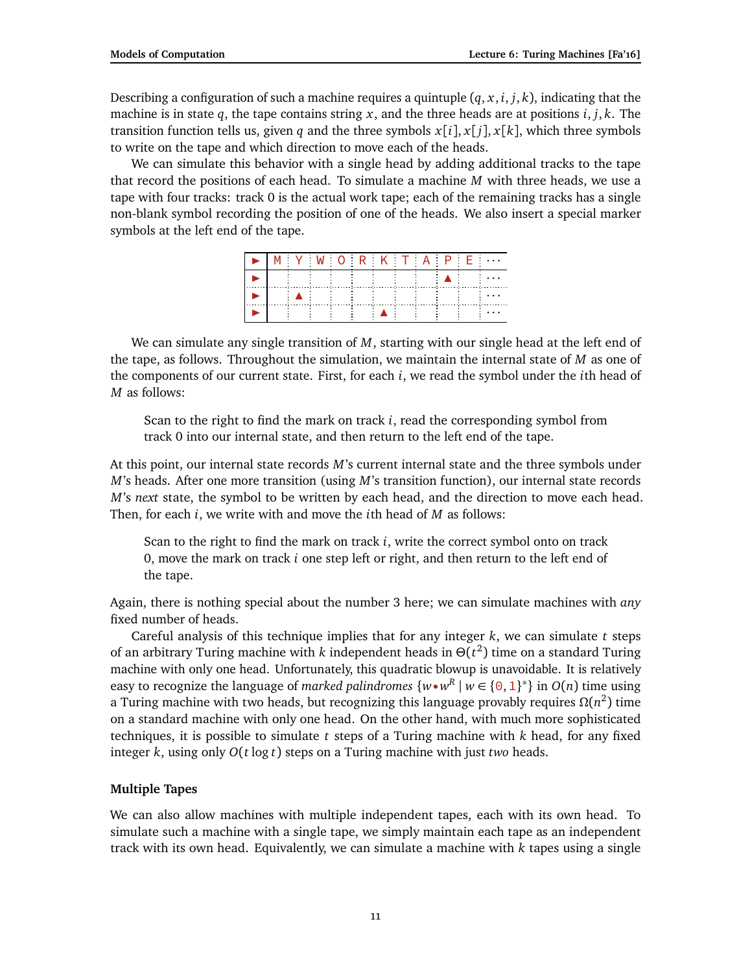Describing a configuration of such a machine requires a quintuple  $(q, x, i, j, k)$ , indicating that the machine is in state *q*, the tape contains string *x*, and the three heads are at positions *i*, *j*, *k*. The transition function tells us, given *q* and the three symbols  $x[i], x[j], x[k]$ , which three symbols to write on the tape and which direction to move each of the heads.

We can simulate this behavior with a single head by adding additional tracks to the tape that record the positions of each head. To simulate a machine *M* with three heads, we use a tape with four tracks: track 0 is the actual work tape; each of the remaining tracks has a single non-blank symbol recording the position of one of the heads. We also insert a special marker symbols at the left end of the tape.



We can simulate any single transition of *M*, starting with our single head at the left end of the tape, as follows. Throughout the simulation, we maintain the internal state of *M* as one of the components of our current state. First, for each *i*, we read the symbol under the *i*th head of *M* as follows:

Scan to the right to find the mark on track *i*, read the corresponding symbol from track 0 into our internal state, and then return to the left end of the tape.

At this point, our internal state records *M*'s current internal state and the three symbols under *M*'s heads. After one more transition (using *M*'s transition function), our internal state records *M*'s *next* state, the symbol to be written by each head, and the direction to move each head. Then, for each *i*, we write with and move the *i*th head of *M* as follows:

Scan to the right to find the mark on track *i*, write the correct symbol onto on track 0, move the mark on track *i* one step left or right, and then return to the left end of the tape.

Again, there is nothing special about the number 3 here; we can simulate machines with *any* fixed number of heads.

Careful analysis of this technique implies that for any integer *k*, we can simulate *t* steps of an arbitrary Turing machine with *k* independent heads in *Θ*(*t* 2 ) time on a standard Turing machine with only one head. Unfortunately, this quadratic blowup is unavoidable. It is relatively easy to recognize the language of *marked palindromes*  $\{w \cdot w^R \mid w \in \{0,1\}^*\}$  in  $O(n)$  time using a Turing machine with two heads, but recognizing this language provably requires *Ω*(*n* 2 ) time on a standard machine with only one head. On the other hand, with much more sophisticated techniques, it is possible to simulate *t* steps of a Turing machine with *k* head, for any fixed integer *k*, using only *O*(*t* log *t*) steps on a Turing machine with just *two* heads.

## **Multiple Tapes**

We can also allow machines with multiple independent tapes, each with its own head. To simulate such a machine with a single tape, we simply maintain each tape as an independent track with its own head. Equivalently, we can simulate a machine with *k* tapes using a single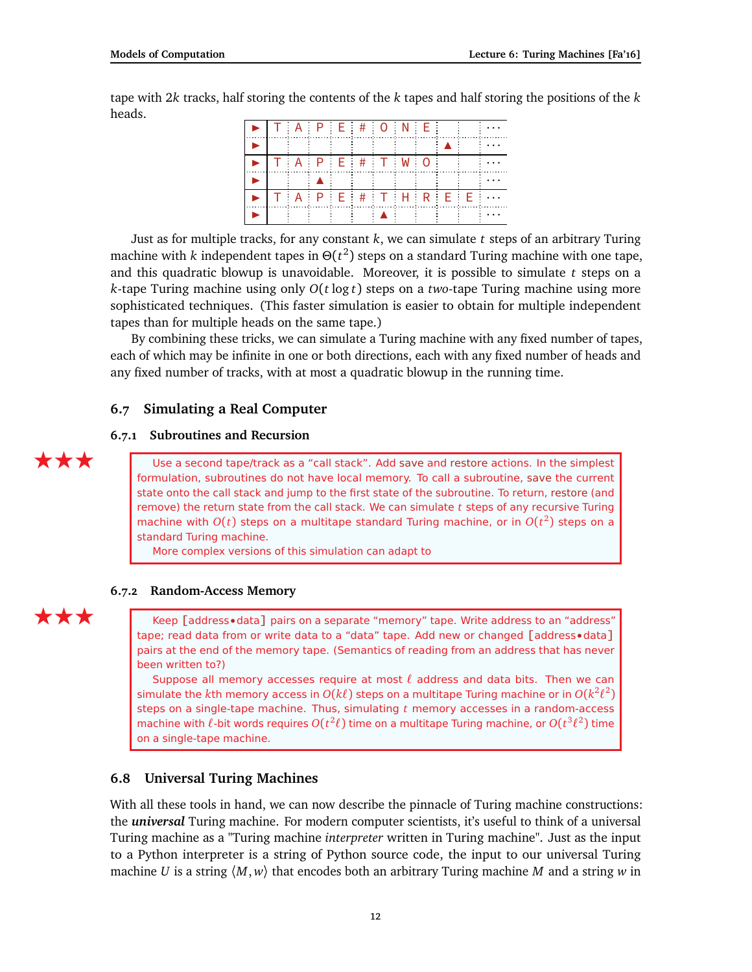tape with 2*k* tracks, half storing the contents of the *k* tapes and half storing the positions of the *k* heads.

|  | $\blacktriangleright$ T A P E # O N E         |  |  |  |                                                                                                                                 |
|--|-----------------------------------------------|--|--|--|---------------------------------------------------------------------------------------------------------------------------------|
|  |                                               |  |  |  |                                                                                                                                 |
|  | $\blacktriangleright$ $\top$ A P E $\#$ T W O |  |  |  |                                                                                                                                 |
|  |                                               |  |  |  |                                                                                                                                 |
|  |                                               |  |  |  | $\blacktriangleright$ $\mid$ T $\mid$ A $\mid$ P $\mid$ E $\mid$ # $\mid$ T $\mid$ H $\mid$ R $\mid$ E $\mid$ E $\mid$ $\cdots$ |
|  |                                               |  |  |  |                                                                                                                                 |

Just as for multiple tracks, for any constant *k*, we can simulate *t* steps of an arbitrary Turing machine with *k* independent tapes in *Θ*(*t* 2 ) steps on a standard Turing machine with one tape, and this quadratic blowup is unavoidable. Moreover, it is possible to simulate *t* steps on a *k*-tape Turing machine using only *O*(*t* log *t*) steps on a *two*-tape Turing machine using more sophisticated techniques. (This faster simulation is easier to obtain for multiple independent tapes than for multiple heads on the same tape.)

By combining these tricks, we can simulate a Turing machine with any fixed number of tapes, each of which may be infinite in one or both directions, each with any fixed number of heads and any fixed number of tracks, with at most a quadratic blowup in the running time.

## **6.7 Simulating a Real Computer**

### **6.7.1 Subroutines and Recursion**

Use a second tape/track as a "call stack". Add save and restore actions. In the simplest formulation, subroutines do not have local memory. To call a subroutine, save the current state onto the call stack and jump to the first state of the subroutine. To return, restore (and remove) the return state from the call stack. We can simulate *t* steps of any recursive Turing machine with  $O(t)$  steps on a multitape standard Turing machine, or in  $O(t^2)$  steps on a standard Turing machine.

More complex versions of this simulation can adapt to

## **6.7.2 Random-Access Memory**

#### Keep [address•data] pairs on a separate "memory" tape. Write address to an "address" tape; read data from or write data to a "data" tape. Add new or changed **[**address**•**data**]** pairs at the end of the memory tape. (Semantics of reading from an address that has never been written to?)

Suppose all memory accesses require at most  $\ell$  address and data bits. Then we can simulate the  $k$ th memory access in  $O(k\ell)$  steps on a multitape Turing machine or in  $O(k^2\ell^2)$ steps on a single-tape machine. Thus, simulating *t* memory accesses in a random-access machine with  $\ell$ -bit words requires  $O(t^2\ell)$  time on a multitape Turing machine, or  $O(t^3\ell^2)$  time on a single-tape machine.

# **6.8 Universal Turing Machines**

With all these tools in hand, we can now describe the pinnacle of Turing machine constructions: the *universal* Turing machine. For modern computer scientists, it's useful to think of a universal Turing machine as a "Turing machine *interpreter* written in Turing machine". Just as the input to a Python interpreter is a string of Python source code, the input to our universal Turing machine *U* is a string  $\langle M, w \rangle$  that encodes both an arbitrary Turing machine *M* and a string *w* in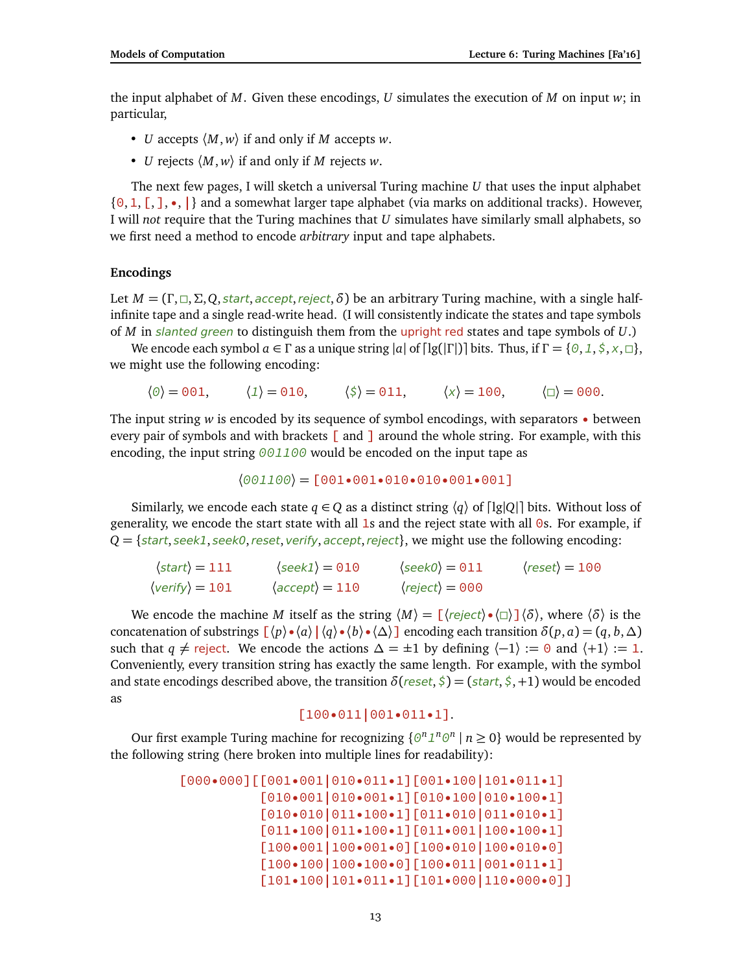the input alphabet of *M*. Given these encodings, *U* simulates the execution of *M* on input *w*; in particular,

- *U* accepts 〈*M*, *w*〉 if and only if *M* accepts *w*.
- *U* rejects 〈*M*, *w*〉 if and only if *M* rejects *w*.

The next few pages, I will sketch a universal Turing machine *U* that uses the input alphabet {0,1,**[**,**]**,**•**,**|**} and a somewhat larger tape alphabet (via marks on additional tracks). However, I will *not* require that the Turing machines that *U* simulates have similarly small alphabets, so we first need a method to encode *arbitrary* input and tape alphabets.

#### **Encodings**

Let  $M = (\Gamma, \Box, \Sigma, Q, start, accept, reject, \delta)$  be an arbitrary Turing machine, with a single halfinfinite tape and a single read-write head. (I will consistently indicate the states and tape symbols of *M* in slanted green to distinguish them from the upright red states and tape symbols of *U*.)

We encode each symbol  $a \in \Gamma$  as a unique string  $|a|$  of  $\lceil \lg(|\Gamma|) \rceil$  bits. Thus, if  $\Gamma = \{0, 1, \xi, x, \Box\}$ , we might use the following encoding:

 $\langle 0 \rangle = 001,$   $\langle 1 \rangle = 010,$   $\langle \xi \rangle = 011,$   $\langle x \rangle = 100,$   $\langle \Box \rangle = 000.$ 

The input string *w* is encoded by its sequence of symbol encodings, with separators **•** between every pair of symbols and with brackets **[** and **]** around the whole string. For example, with this encoding, the input string 001100 would be encoded on the input tape as

〈001100〉 = **[**001**•**001**•**010**•**010**•**001**•**001**]**

Similarly, we encode each state  $q \in Q$  as a distinct string  $\langle q \rangle$  of  $\lceil \lg|Q| \rceil$  bits. Without loss of generality, we encode the start state with all 1s and the reject state with all  $\theta$ s. For example, if  $Q = \{start, seek1, seek0, reset, verify, accept, reject\}$ , we might use the following encoding:

| $\langle$ start $\rangle = 111$         | $\langle$ seek1 $\rangle$ = 010 | $\langle$ seek0 $\rangle$ = 011 | $\langle reset \rangle = 100$ |
|-----------------------------------------|---------------------------------|---------------------------------|-------------------------------|
| $\langle$ <i>verify</i> $\rangle = 101$ | $\langle accept \rangle = 110$  | $\langle reject \rangle = 000$  |                               |

We encode the machine *M* itself as the string  $\langle M \rangle = \sqrt{\langle r \rangle} \cdot \langle \Box \rangle \sqrt{\langle \delta \rangle}$ , where  $\langle \delta \rangle$  is the concatenation of substrings  $[\langle p \rangle \bullet \langle a \rangle] \langle q \rangle \bullet \langle b \rangle \bullet \langle \Delta \rangle$  encoding each transition  $\delta(p, a) = (q, b, \Delta)$ such that *q*  $\neq$  reject. We encode the actions  $\Delta = \pm 1$  by defining  $\langle -1 \rangle := 0$  and  $\langle +1 \rangle := 1$ . Conveniently, every transition string has exactly the same length. For example, with the symbol and state encodings described above, the transition  $\delta$ (*reset*, \$) = (start, \$, +1) would be encoded as

## **[**100**•**011**|**001**•**011**•**1**]**.

Our first example Turing machine for recognizing  $\{ \Theta^n 1^n \Theta^n \mid n \geq 0 \}$  would be represented by the following string (here broken into multiple lines for readability):

```
[000•000][[001•001|010•011•1][001•100|101•011•1]
          [010•001|010•001•1][010•100|010•100•1]
          [010•010|011•100•1][011•010|011•010•1]
          [011•100|011•100•1][011•001|100•100•1]
          [100•001|100•001•0][100•010|100•010•0]
          [100•100|100•100•0][100•011|001•011•1]
          [101•100|101•011•1][101•000|110•000•0]]
```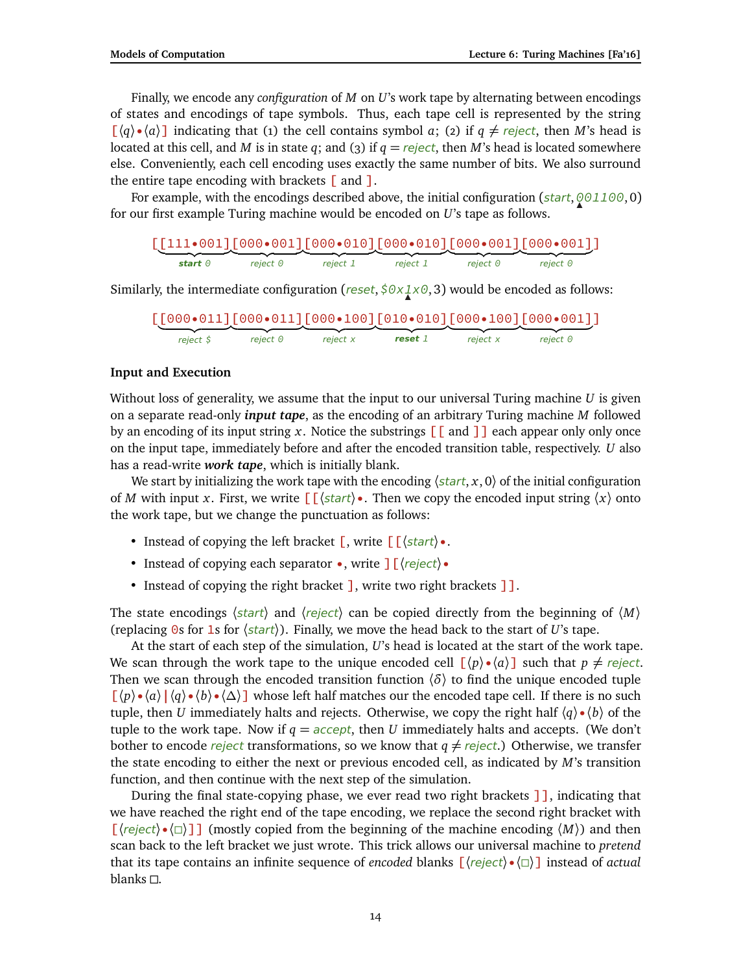Finally, we encode any *configuration* of *M* on *U*'s work tape by alternating between encodings of states and encodings of tape symbols. Thus, each tape cell is represented by the string  $\lceil \langle q \rangle \cdot \langle a \rangle \rceil$  indicating that (1) the cell contains symbol *a*; (2) if  $q \neq$  *reject*, then *M*'s head is located at this cell, and *M* is in state *q*; and (3) if  $q = reject$ , then *M*'s head is located somewhere else. Conveniently, each cell encoding uses exactly the same number of bits. We also surround the entire tape encoding with brackets **[** and **]**.

For example, with the encodings described above, the initial configuration (start,  $\mathcal{Q}01100,0$ ) for our first example Turing machine would be encoded on *U*'s tape as follows.

| $[[111 \cdot 001][000 \cdot 001][000 \cdot 010][000 \cdot 010][000 \cdot 001][000 \cdot 001][000 \cdot 001]]$<br>$\begin{picture}(100,10) \put(0,0){\dashbox{0.5}(10,0){ }} \put(10,0){\circle{10}} \put(10,0){\circle{10}} \put(10,0){\circle{10}} \put(10,0){\circle{10}} \put(10,0){\circle{10}} \put(10,0){\circle{10}} \put(10,0){\circle{10}} \put(10,0){\circle{10}} \put(10,0){\circle{10}} \put(10,0){\circle{10}} \put(10,0){\circle{10}} \put(10,0){\circle{10}} \put(10,0){\circle{10}} \put(10$ |          |          |          |          |          |
|--------------------------------------------------------------------------------------------------------------------------------------------------------------------------------------------------------------------------------------------------------------------------------------------------------------------------------------------------------------------------------------------------------------------------------------------------------------------------------------------------------------|----------|----------|----------|----------|----------|
| start 0                                                                                                                                                                                                                                                                                                                                                                                                                                                                                                      | reiect 0 | reiect 1 | reiect 1 | reiect 0 | reiect 0 |

Similarly, the intermediate configuration (*reset*,  $$0 \times 1 \times 0, 3$ ) would be encoded as follows:

| $[000 \cdot 011][000 \cdot 011][000 \cdot 100][010 \cdot 010][000 \cdot 100][000 \cdot 001]]$ |          |          |         |          |          |
|-----------------------------------------------------------------------------------------------|----------|----------|---------|----------|----------|
| — <del>———————————————</del>                                                                  |          |          |         |          |          |
| reiect \$                                                                                     | reiect 0 | reiect x | reset 1 | reiect x | reiect 0 |

#### **Input and Execution**

Without loss of generality, we assume that the input to our universal Turing machine *U* is given on a separate read-only *input tape*, as the encoding of an arbitrary Turing machine *M* followed by an encoding of its input string *x*. Notice the substrings **[[** and **]]** each appear only only once on the input tape, immediately before and after the encoded transition table, respectively. *U* also has a read-write *work tape*, which is initially blank.

We start by initializing the work tape with the encoding  $\langle start, x, 0 \rangle$  of the initial configuration of *M* with input *x*. First, we write  $\left[\frac{\xi}{\xi}$  (*start*) • Then we copy the encoded input string  $\langle x \rangle$  onto the work tape, but we change the punctuation as follows:

- Instead of copying the left bracket **[**, write **[[**〈start〉**•**.
- Instead of copying each separator **•**, write **][**〈reject〉**•**
- Instead of copying the right bracket **]**, write two right brackets **]]**.

The state encodings  $\langle start \rangle$  and  $\langle reject \rangle$  can be copied directly from the beginning of  $\langle M \rangle$ (replacing 0s for 1s for 〈start〉). Finally, we move the head back to the start of *U*'s tape.

At the start of each step of the simulation, *U*'s head is located at the start of the work tape. We scan through the work tape to the unique encoded cell  $[\langle p \rangle \bullet \langle a \rangle]$  such that  $p \neq$  reject. Then we scan through the encoded transition function  $\langle \delta \rangle$  to find the unique encoded tuple  $\lceil \langle p \rangle \cdot \langle a \rangle \rceil \langle q \rangle \cdot \langle b \rangle \cdot \langle \Delta \rangle$  whose left half matches our the encoded tape cell. If there is no such tuple, then *U* immediately halts and rejects. Otherwise, we copy the right half  $\langle q \rangle \cdot \langle b \rangle$  of the tuple to the work tape. Now if  $q = accept$ , then *U* immediately halts and accepts. (We don't bother to encode *reject* transformations, so we know that  $q \neq$  *reject*.) Otherwise, we transfer the state encoding to either the next or previous encoded cell, as indicated by *M*'s transition function, and then continue with the next step of the simulation.

During the final state-copying phase, we ever read two right brackets **]]**, indicating that we have reached the right end of the tape encoding, we replace the second right bracket with  $[\langle reject \rangle \bullet \langle \Box \rangle]$  (mostly copied from the beginning of the machine encoding  $\langle M \rangle$ ) and then scan back to the left bracket we just wrote. This trick allows our universal machine to *pretend* that its tape contains an infinite sequence of *encoded* blanks **[**〈reject〉**•**〈〉**]** instead of *actual* blanks  $\Box$ .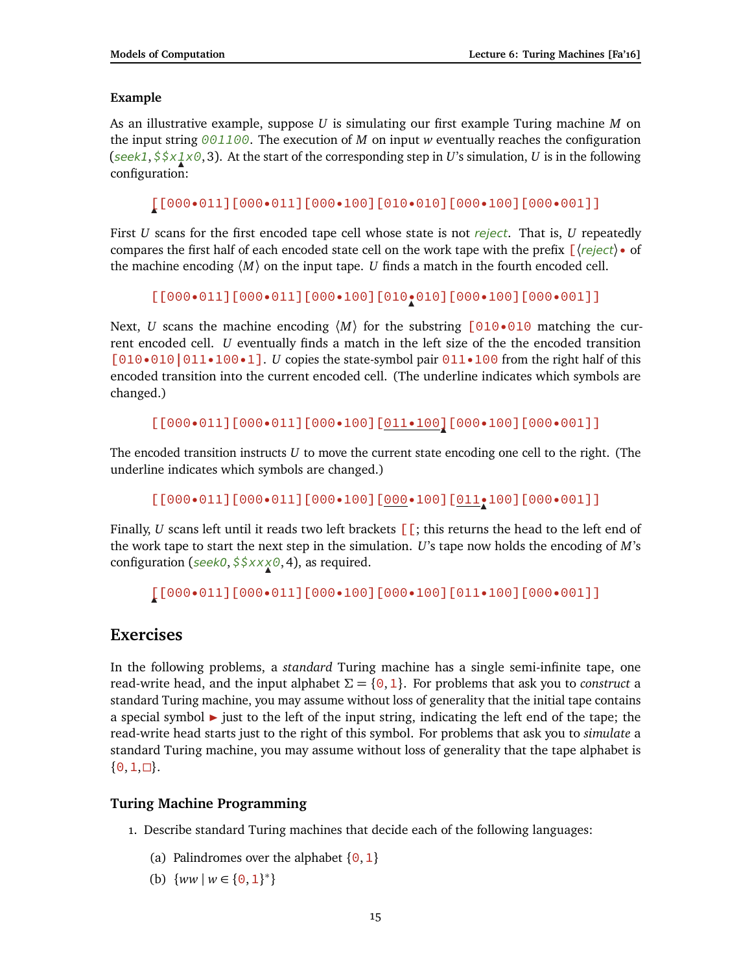## **Example**

As an illustrative example, suppose *U* is simulating our first example Turing machine *M* on the input string 001100. The execution of *M* on input *w* eventually reaches the configuration (seek1,\$\$x Î 1x0, 3). At the start of the corresponding step in *U*'s simulation, *U* is in the following configuration:

```
Î
[[000•011][000•011][000•100][010•010][000•100][000•001]]
```
First *U* scans for the first encoded tape cell whose state is not reject. That is, *U* repeatedly compares the first half of each encoded state cell on the work tape with the prefix **[**〈reject〉**•** of the machine encoding  $\langle M \rangle$  on the input tape. *U* finds a match in the fourth encoded cell.

```
[[000•011][000•011][000•100][010
Î
•010][000•100][000•001]]
```
Next, *U* scans the machine encoding  $\langle M \rangle$  for the substring  $\lceil 010 \cdot 010 \rceil$  matching the current encoded cell. *U* eventually finds a match in the left size of the the encoded transition **[**010**•**010**|**011**•**100**•**1**]**. *U* copies the state-symbol pair 011**•**100 from the right half of this encoded transition into the current encoded cell. (The underline indicates which symbols are changed.)

```
[[000•011][000•011][000•100][011•100
Î
][000•100][000•001]]
```
The encoded transition instructs *U* to move the current state encoding one cell to the right. (The underline indicates which symbols are changed.)

```
[[000•011][000•011][000•100][000•100][011
Î
•100][000•001]]
```
Finally, *U* scans left until it reads two left brackets **[[**; this returns the head to the left end of the work tape to start the next step in the simulation. *U*'s tape now holds the encoding of *M*'s  $\text{configuration} \left( \text{seek0}, \text{\$}\text{\$} \text{x} \text{x} \text{x} \text{\O}, \text{4} \right)$ , as required.

```
Î
[[000•011][000•011][000•100][000•100][011•100][000•001]]
```
# **Exercises**

In the following problems, a *standard* Turing machine has a single semi-infinite tape, one read-write head, and the input alphabet *Σ* = {0,1}. For problems that ask you to *construct* a standard Turing machine, you may assume without loss of generality that the initial tape contains a special symbol  $\blacktriangleright$  just to the left of the input string, indicating the left end of the tape; the read-write head starts just to the right of this symbol. For problems that ask you to *simulate* a standard Turing machine, you may assume without loss of generality that the tape alphabet is  $\{0, 1, \Box\}.$ 

# **Turing Machine Programming**

- 1. Describe standard Turing machines that decide each of the following languages:
	- (a) Palindromes over the alphabet  $\{0, 1\}$
	- (b)  $\{ww \mid w \in \{0, 1\}^*\}$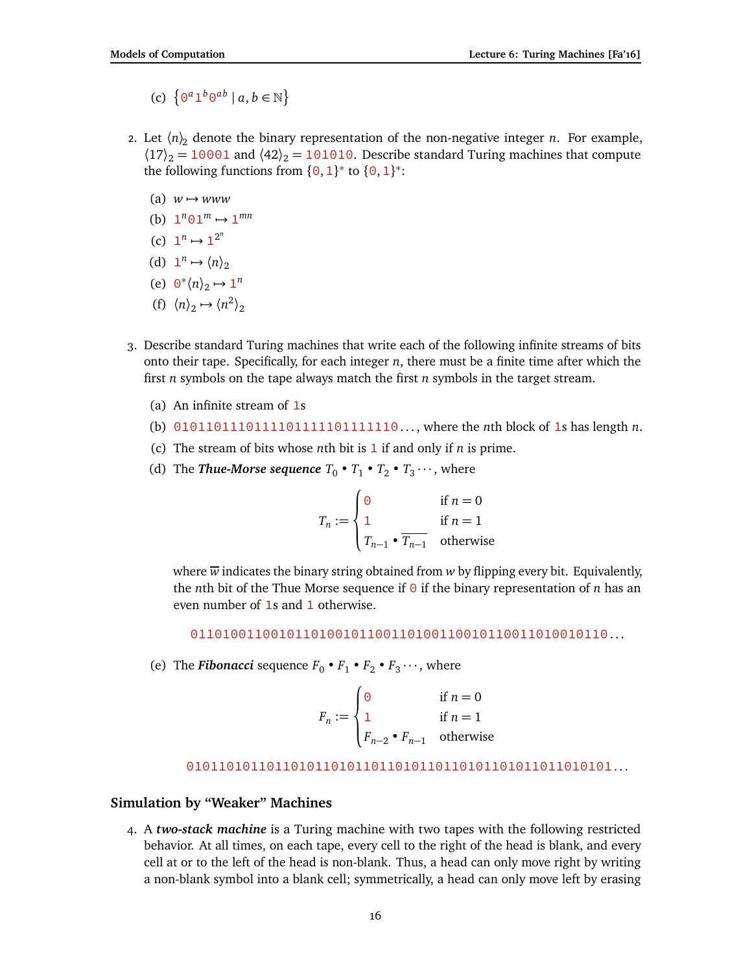(c)  $\{ \Theta^a \mathbb{1}^b \Theta^{ab} \mid a, b \in \mathbb{N} \}$ 

- 2. Let  $\langle n \rangle$  denote the binary representation of the non-negative integer *n*. For example,  $\langle 17 \rangle_2 = 10001$  and  $\langle 42 \rangle_2 = 101010$ . Describe standard Turing machines that compute the following functions from  $\{0, 1\}^*$  to  $\{0, 1\}^*$ :
	- (a)  $w \mapsto www$
	- (b)  $1^n 01^m \mapsto 1^{mn}$
	- (c)  $1^n \mapsto 1^{2^n}$
	- (d)  $1^n \mapsto \langle n \rangle_2$
	- (e)  $\Theta^* \langle n \rangle_2 \mapsto 1^n$
	- (f)  $\langle n \rangle_2 \mapsto \langle n^2 \rangle_2$
- 3. Describe standard Turing machines that write each of the following infinite streams of bits onto their tape. Specifically, for each integer *n*, there must be a finite time after which the first *n* symbols on the tape always match the first *n* symbols in the target stream.
	- (a) An infinite stream of 1s
	- (b) 0101101110111101111101111110. . . , where the *n*th block of 1s has length *n*.
	- (c) The stream of bits whose *n*th bit is 1 if and only if *n* is prime.
	- (d) The *Thue-Morse sequence*  $T_0 \cdot T_1 \cdot T_2 \cdot T_3 \cdots$ , where

$$
T_n := \begin{cases} 0 & \text{if } n = 0\\ 1 & \text{if } n = 1\\ T_{n-1} \bullet \overline{T_{n-1}} & \text{otherwise} \end{cases}
$$

where  $\overline{w}$  indicates the binary string obtained from  $w$  by flipping every bit. Equivalently, the *n*th bit of the Thue Morse sequence if  $\Theta$  if the binary representation of *n* has an even number of 1s and 1 otherwise.

0110100110010110100101100110100110010110011010010110. . .

(e) The **Fibonacci** sequence  $F_0 \cdot F_1 \cdot F_2 \cdot F_3 \cdots$ , where

$$
F_n := \begin{cases} 0 & \text{if } n = 0\\ 1 & \text{if } n = 1\\ F_{n-2} \bullet F_{n-1} & \text{otherwise} \end{cases}
$$

#### 01011010110110101101011011010110110101101011011010101. . .

## **Simulation by "Weaker" Machines**

<span id="page-15-0"></span>4. A *two-stack machine* is a Turing machine with two tapes with the following restricted behavior. At all times, on each tape, every cell to the right of the head is blank, and every cell at or to the left of the head is non-blank. Thus, a head can only move right by writing a non-blank symbol into a blank cell; symmetrically, a head can only move left by erasing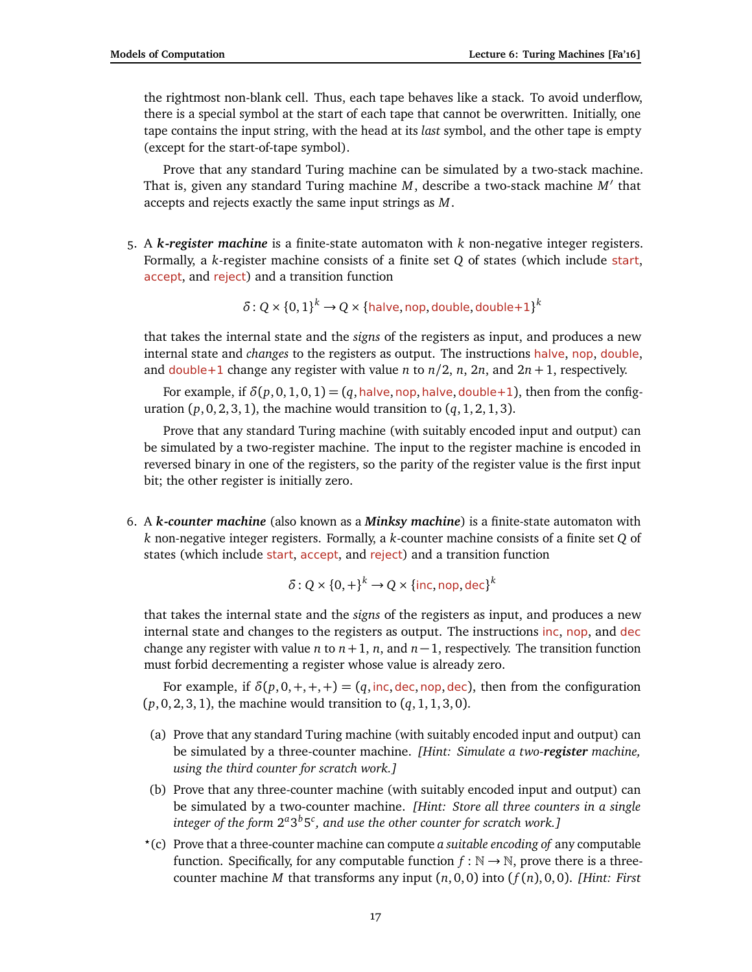the rightmost non-blank cell. Thus, each tape behaves like a stack. To avoid underflow, there is a special symbol at the start of each tape that cannot be overwritten. Initially, one tape contains the input string, with the head at its *last* symbol, and the other tape is empty (except for the start-of-tape symbol).

Prove that any standard Turing machine can be simulated by a two-stack machine. That is, given any standard Turing machine *M*, describe a two-stack machine *M'* that accepts and rejects exactly the same input strings as *M*.

5. A *k-register machine* is a finite-state automaton with *k* non-negative integer registers. Formally, a *k*-register machine consists of a finite set *Q* of states (which include start, accept, and reject) and a transition function

 $\delta$  :  $Q$   $\times$   $\{0,1\}^k$   $\rightarrow$   $Q$   $\times$   $\{$  halve, nop, double, double+1  $\}^k$ 

that takes the internal state and the *signs* of the registers as input, and produces a new internal state and *changes* to the registers as output. The instructions halve, nop, double, and double+1 change any register with value *n* to  $n/2$ , *n*, 2*n*, and 2*n* + 1, respectively.

For example, if  $\delta(p, 0, 1, 0, 1) = (q, \text{halve}, \text{nop}, \text{halve}, \text{double}+1)$ , then from the configuration  $(p, 0, 2, 3, 1)$ , the machine would transition to  $(q, 1, 2, 1, 3)$ .

Prove that any standard Turing machine (with suitably encoded input and output) can be simulated by a two-register machine. The input to the register machine is encoded in reversed binary in one of the registers, so the parity of the register value is the first input bit; the other register is initially zero.

6. A *k-counter machine* (also known as a *Minksy machine*) is a finite-state automaton with *k* non-negative integer registers. Formally, a *k*-counter machine consists of a finite set *Q* of states (which include start, accept, and reject) and a transition function

 $\delta$ :  $Q \times \{0, +\}^k \rightarrow Q \times \{\text{inc}, \text{nop}, \text{dec}\}^k$ 

that takes the internal state and the *signs* of the registers as input, and produces a new internal state and changes to the registers as output. The instructions inc, nop, and dec change any register with value *n* to  $n+1$ ,  $n$ , and  $n-1$ , respectively. The transition function must forbid decrementing a register whose value is already zero.

For example, if  $\delta(p, 0, +, +, +) = (q, \text{inc}, \text{dec}, \text{nop}, \text{dec})$ , then from the configuration (*p*, 0, 2, 3, 1), the machine would transition to (*q*, 1, 1, 3, 0).

- (a) Prove that any standard Turing machine (with suitably encoded input and output) can be simulated by a three-counter machine. *[Hint: Simulate a two-register machine, using the third counter for scratch work.]*
- (b) Prove that any three-counter machine (with suitably encoded input and output) can be simulated by a two-counter machine. *[Hint: Store all three counters in a single* integer of the form 2<sup>a</sup>3<sup>b</sup>5<sup>c</sup>, and use the other counter for scratch work.]
- *?* (c) Prove that a three-counter machine can compute *a suitable encoding of* any computable function. Specifically, for any computable function  $f : \mathbb{N} \to \mathbb{N}$ , prove there is a threecounter machine *M* that transforms any input (*n*, 0, 0) into (*f* (*n*), 0, 0). *[Hint: First*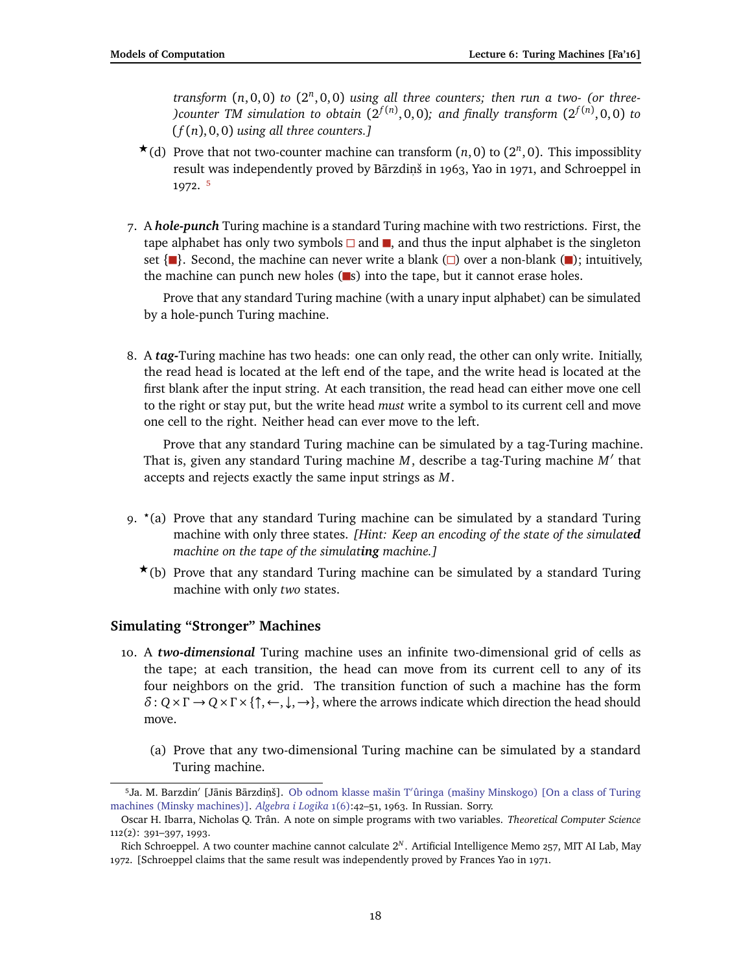*transform* (*n*, 0, 0) *to* (2 *n* , 0, 0) *using all three counters; then run a two- (or three-* ) counter TM simulation to obtain  $(2^{f(n)},0,0)$ ; and finally transform  $(2^{f(n)},0,0)$  to (*f* (*n*), 0, 0) *using all three counters.]*

- $\star$  (d) Prove that not two-counter machine can transform  $(n, 0)$  to  $(2^n, 0)$ . This impossiblity result was independently proved by Bārzdinš in 1963, Yao in 1971, and Schroeppel in 1972.  $5$
- 7. A *hole-punch* Turing machine is a standard Turing machine with two restrictions. First, the tape alphabet has only two symbols  $\square$  and  $\square$ , and thus the input alphabet is the singleton set  $\{\blacksquare\}$ . Second, the machine can never write a blank  $(\square)$  over a non-blank  $(\blacksquare)$ ; intuitively, the machine can punch new holes  $($ s) into the tape, but it cannot erase holes.

Prove that any standard Turing machine (with a unary input alphabet) can be simulated by a hole-punch Turing machine.

8. A *tag-*Turing machine has two heads: one can only read, the other can only write. Initially, the read head is located at the left end of the tape, and the write head is located at the first blank after the input string. At each transition, the read head can either move one cell to the right or stay put, but the write head *must* write a symbol to its current cell and move one cell to the right. Neither head can ever move to the left.

Prove that any standard Turing machine can be simulated by a tag-Turing machine. That is, given any standard Turing machine *M*, describe a tag-Turing machine *M'* that accepts and rejects exactly the same input strings as *M*.

- 9. <sup>\*</sup>(a) Prove that any standard Turing machine can be simulated by a standard Turing machine with only three states. *[Hint: Keep an encoding of the state of the simulated machine on the tape of the simulating machine.]*
	- $\star$  (b) Prove that any standard Turing machine can be simulated by a standard Turing machine with only *two* states.

## **Simulating "Stronger" Machines**

- 10. A *two-dimensional* Turing machine uses an infinite two-dimensional grid of cells as the tape; at each transition, the head can move from its current cell to any of its four neighbors on the grid. The transition function of such a machine has the form *δ*: *Q*×*Γ* → *Q*×*Γ* ×{↑,←, ↓,→}, where the arrows indicate which direction the head should move.
	- (a) Prove that any two-dimensional Turing machine can be simulated by a standard Turing machine.

<span id="page-17-0"></span><sup>&</sup>lt;sup>5</sup>Ja. M. Barzdin' [Jānis Bārzdiņš]. Ob odnom klasse mašin T'[ûringa \(mašiny Minskogo\) \[On a class of Turing](http://math.nsc.ru/~alglog/01-10/01/01N6-6.pdf) [machines \(Minsky machines\)\].](http://math.nsc.ru/~alglog/01-10/01/01N6-6.pdf) *[Algebra i Logika](http://math.nsc.ru/~alglog/01-10/01/01N6.html)* 1(6):42–51, 1963. In Russian. Sorry.

Oscar H. Ibarra, Nicholas Q. Trân. A note on simple programs with two variables. *Theoretical Computer Science* 112(2): 391–397, 1993.

Rich Schroeppel. A two counter machine cannot calculate 2 *N* . Artificial Intelligence Memo 257, MIT AI Lab, May 1972. [Schroeppel claims that the same result was independently proved by Frances Yao in 1971.